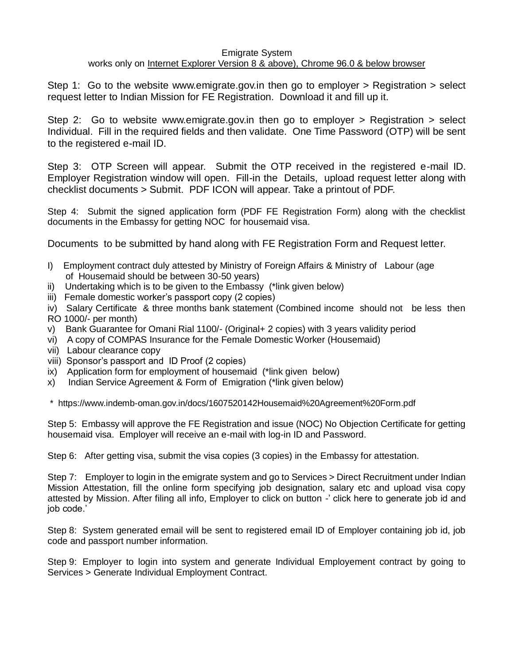## Emigrate System

## works only on Internet Explorer Version 8 & above), Chrome 96.0 & below browser

Step 1: Go to the website [www.emigrate.gov.in](http://www.emigrate.gov.in/) then go to employer > Registration > select request letter to Indian Mission for FE Registration. Download it and fill up it.

Step 2: Go to website [www.emigrate.gov.in](http://www.emigrate.gov.in/) then go to employer > Registration > select Individual. Fill in the required fields and then validate. One Time Password (OTP) will be sent to the registered e-mail ID.

Step 3: OTP Screen will appear. Submit the OTP received in the registered e-mail ID. Employer Registration window will open. Fill-in the Details, upload request letter along with checklist documents > Submit. PDF ICON will appear. Take a printout of PDF.

Step 4: Submit the signed application form (PDF FE Registration Form) along with the checklist documents in the Embassy for getting NOC for housemaid visa.

Documents to be submitted by hand along with FE Registration Form and Request letter.

- I) Employment contract duly attested by Ministry of Foreign Affairs & Ministry of Labour (age of Housemaid should be between 30-50 years)
- ii) Undertaking which is to be given to the Embassy (\*link given below)
- iii) Female domestic worker's passport copy (2 copies)

iv) Salary Certificate & three months bank statement (Combined income should not be less then RO 1000/- per month)

- v) Bank Guarantee for Omani Rial 1100/- (Original+ 2 copies) with 3 years validity period
- vi) A copy of COMPAS Insurance for the Female Domestic Worker (Housemaid)
- vii) Labour clearance copy
- viii) Sponsor's passport and ID Proof (2 copies)
- ix) Application form for employment of housemaid (\*link given below)
- x) Indian Service Agreement & Form of Emigration (\*link given below)

\* <https://www.indemb-oman.gov.in/docs/1607520142Housemaid%20Agreement%20Form.pdf>

Step 5: Embassy will approve the FE Registration and issue (NOC) No Objection Certificate for getting housemaid visa. Employer will receive an e-mail with log-in ID and Password.

Step 6: After getting visa, submit the visa copies (3 copies) in the Embassy for attestation.

Step 7: Employer to login in the emigrate system and go to Services > Direct Recruitment under Indian Mission Attestation, fill the online form specifying job designation, salary etc and upload visa copy attested by Mission. After filing all info, Employer to click on button -' click here to generate job id and job code.'

Step 8: System generated email will be sent to registered email ID of Employer containing job id, job code and passport number information.

Step 9: Employer to login into system and generate Individual Employement contract by going to Services > Generate Individual Employment Contract.